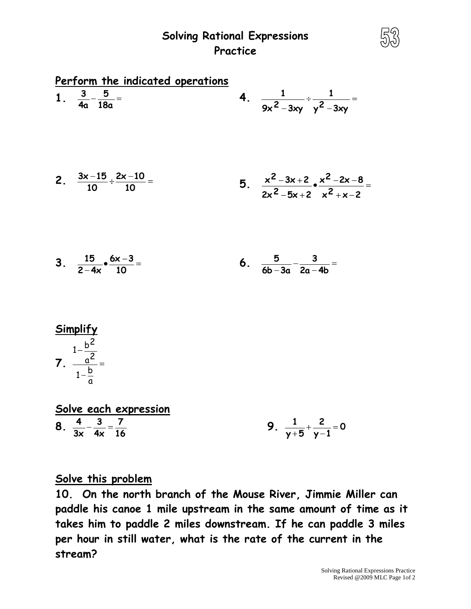## **Solving Rational Expressions Practice**

| Perform the indicated operations |                                                                            |  |                                                              |
|----------------------------------|----------------------------------------------------------------------------|--|--------------------------------------------------------------|
|                                  | 1. $\frac{3}{4a} - \frac{5}{18a} =$                                        |  | 4. $\frac{1}{9x^2-3xy}+\frac{1}{x^2-3xy}=$                   |
|                                  | 2. $\frac{3x-15}{10} \div \frac{2x-10}{10} =$                              |  | 5. $\frac{x^2-3x+2}{2x^2-5x+2}$ $\frac{x^2-2x-8}{x^2+x-2}$ = |
|                                  | 3. $\frac{15}{2-4x} \cdot \frac{6x-3}{10} =$                               |  | 6. $\frac{5}{6b-3a} - \frac{3}{2a-4b} =$                     |
|                                  |                                                                            |  |                                                              |
|                                  | $rac{\text{Simplify}}{1-\frac{b^2}{a^2}}$<br>7. $rac{a^2}{1-\frac{b}{a}}=$ |  |                                                              |

|   |     | Solve each expression |  |
|---|-----|-----------------------|--|
| 8 | - 3 |                       |  |
|   | 4x  |                       |  |

**9.**  $\frac{1}{\sqrt{5}} + \frac{2}{\sqrt{15}} = 0$ **y 1 2 y 5 1**

## **Solve this problem**

**10. On the north branch of the Mouse River, Jimmie Miller can paddle his canoe 1 mile upstream in the same amount of time as it takes him to paddle 2 miles downstream. If he can paddle 3 miles per hour in still water, what is the rate of the current in the stream?**